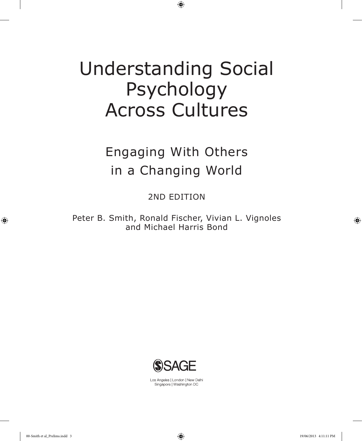# Understanding Social Psychology Across Cultures

⊕

# Engaging With Others in a Changing World

2ND EDITION

Peter B. Smith, Ronald Fischer, Vivian L. Vignoles and Michael Harris Bond



Los Angeles | London | New Delhi Singapore | Washington DC

⊕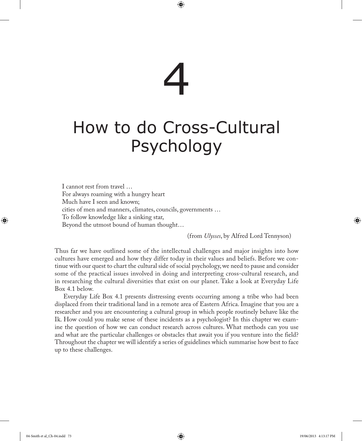# 4

# How to do Cross-Cultural Psychology

I cannot rest from travel … For always roaming with a hungry heart Much have I seen and known; cities of men and manners, climates, councils, governments … To follow knowledge like a sinking star, Beyond the utmost bound of human thought…

(from *Ulysses*, by Alfred Lord Tennyson)

Thus far we have outlined some of the intellectual challenges and major insights into how cultures have emerged and how they differ today in their values and beliefs. Before we continue with our quest to chart the cultural side of social psychology, we need to pause and consider some of the practical issues involved in doing and interpreting cross-cultural research, and in researching the cultural diversities that exist on our planet. Take a look at Everyday Life Box 4.1 below.

Everyday Life Box 4.1 presents distressing events occurring among a tribe who had been displaced from their traditional land in a remote area of Eastern Africa. Imagine that you are a researcher and you are encountering a cultural group in which people routinely behave like the Ik. How could you make sense of these incidents as a psychologist? In this chapter we examine the question of how we can conduct research across cultures. What methods can you use and what are the particular challenges or obstacles that await you if you venture into the field? Throughout the chapter we will identify a series of guidelines which summarise how best to face up to these challenges.

⊕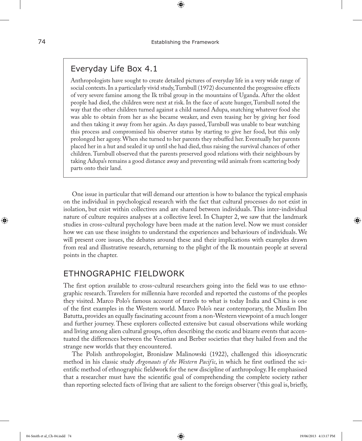# Everyday Life Box 4.1

Anthropologists have sought to create detailed pictures of everyday life in a very wide range of social contexts. In a particularly vivid study, Turnbull (1972) documented the progressive effects of very severe famine among the Ik tribal group in the mountains of Uganda. After the oldest people had died, the children were next at risk. In the face of acute hunger, Turnbull noted the way that the other children turned against a child named Adupa, snatching whatever food she was able to obtain from her as she became weaker, and even teasing her by giving her food and then taking it away from her again. As days passed, Turnbull was unable to bear watching this process and compromised his observer status by starting to give her food, but this only prolonged her agony. When she turned to her parents they rebuffed her. Eventually her parents placed her in a hut and sealed it up until she had died, thus raising the survival chances of other children. Turnbull observed that the parents preserved good relations with their neighbours by taking Adupa's remains a good distance away and preventing wild animals from scattering body parts onto their land.

One issue in particular that will demand our attention is how to balance the typical emphasis on the individual in psychological research with the fact that cultural processes do not exist in isolation, but exist within collectives and are shared between individuals. This inter-individual nature of culture requires analyses at a collective level. In Chapter 2, we saw that the landmark studies in cross-cultural psychology have been made at the nation level. Now we must consider how we can use these insights to understand the experiences and behaviours of individuals. We will present core issues, the debates around these and their implications with examples drawn from real and illustrative research, returning to the plight of the Ik mountain people at several points in the chapter.

# ETHNOGRAPHIC FIELDWORK

The first option available to cross-cultural researchers going into the field was to use ethnographic research. Travelers for millennia have recorded and reported the customs of the peoples they visited. Marco Polo's famous account of travels to what is today India and China is one of the first examples in the Western world. Marco Polo's near contemporary, the Muslim Ibn Batutta, provides an equally fascinating account from a non-Western viewpoint of a much longer and further journey. These explorers collected extensive but casual observations while working and living among alien cultural groups, often describing the exotic and bizarre events that accentuated the differences between the Venetian and Berber societies that they hailed from and the strange new worlds that they encountered.

The Polish anthropologist, Bronislaw Malinowski (1922), challenged this idiosyncratic method in his classic study *Argonauts of the Western Pacific*, in which he first outlined the scientific method of ethnographic fieldwork for the new discipline of anthropology. He emphasised that a researcher must have the scientific goal of comprehending the complete society rather than reporting selected facts of living that are salient to the foreign observer ('this goal is, briefly,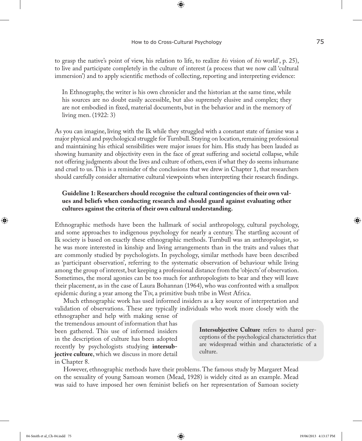#### How to do Cross-Cultural Psychology 75

⊕

to grasp the native's point of view, his relation to life, to realize *his* vision of *his* world', p. 25), to live and participate completely in the culture of interest (a process that we now call 'cultural immersion') and to apply scientific methods of collecting, reporting and interpreting evidence:

In Ethnography, the writer is his own chronicler and the historian at the same time, while his sources are no doubt easily accessible, but also supremely elusive and complex; they are not embodied in fixed, material documents, but in the behavior and in the memory of living men. (1922: 3)

As you can imagine, living with the Ik while they struggled with a constant state of famine was a major physical and psychological struggle for Turnbull. Staying on location, remaining professional and maintaining his ethical sensibilities were major issues for him. His study has been lauded as showing humanity and objectivity even in the face of great suffering and societal collapse, while not offering judgments about the lives and culture of others, even if what they do seems inhumane and cruel to us. This is a reminder of the conclusions that we drew in Chapter 1, that researchers should carefully consider alternative cultural viewpoints when interpreting their research findings.

# **Guideline 1: Researchers should recognise the cultural contingencies of their own values and beliefs when conducting research and should guard against evaluating other cultures against the criteria of their own cultural understanding.**

Ethnographic methods have been the hallmark of social anthropology, cultural psychology, and some approaches to indigenous psychology for nearly a century. The startling account of Ik society is based on exactly these ethnographic methods. Turnbull was an anthropologist, so he was more interested in kinship and living arrangements than in the traits and values that are commonly studied by psychologists. In psychology, similar methods have been described as 'participant observation', referring to the systematic observation of behaviour while living among the group of interest, but keeping a professional distance from the 'objects' of observation. Sometimes, the moral agonies can be too much for anthropologists to bear and they will leave their placement, as in the case of Laura Bohannan (1964), who was confronted with a smallpox epidemic during a year among the Tiv, a primitive bush tribe in West Africa.

Much ethnographic work has used informed insiders as a key source of interpretation and validation of observations. These are typically individuals who work more closely with the

ethnographer and help with making sense of the tremendous amount of information that has been gathered. This use of informed insiders in the description of culture has been adopted recently by psychologists studying **intersubjective culture**, which we discuss in more detail in Chapter 8.

**Intersubjective Culture** refers to shared perceptions of the psychological characteristics that are widespread within and characteristic of a culture.

However, ethnographic methods have their problems. The famous study by Margaret Mead on the sexuality of young Samoan women (Mead, 1928) is widely cited as an example. Mead was said to have imposed her own feminist beliefs on her representation of Samoan society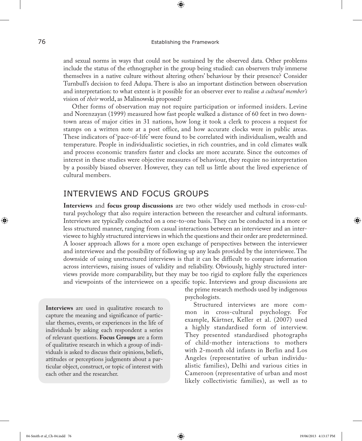# 76 Establishing the Framework

⊕

and sexual norms in ways that could not be sustained by the observed data. Other problems include the status of the ethnographer in the group being studied: can observers truly immerse themselves in a native culture without altering others' behaviour by their presence? Consider Turnbull's decision to feed Adupa. There is also an important distinction between observation and interpretation: to what extent is it possible for an observer ever to realise *a cultural member's*  vision of *their* world, as Malinowski proposed?

Other forms of observation may not require participation or informed insiders. Levine and Norenzayan (1999) measured how fast people walked a distance of 60 feet in two downtown areas of major cities in 31 nations, how long it took a clerk to process a request for stamps on a written note at a post office, and how accurate clocks were in public areas. These indicators of 'pace-of-life' were found to be correlated with individualism, wealth and temperature. People in individualistic societies, in rich countries, and in cold climates walk and process economic transfers faster and clocks are more accurate. Since the outcomes of interest in these studies were objective measures of behaviour, they require no interpretation by a possibly biased observer. However, they can tell us little about the lived experience of cultural members.

# INTERVIEWS AND FOCUS GROUPS

**Interviews** and **focus group discussions** are two other widely used methods in cross-cultural psychology that also require interaction between the researcher and cultural informants. Interviews are typically conducted on a one-to-one basis. They can be conducted in a more or less structured manner, ranging from casual interactions between an interviewer and an interviewee to highly structured interviews in which the questions and their order are predetermined. A looser approach allows for a more open exchange of perspectives between the interviewer and interviewee and the possibility of following up any leads provided by the interviewee. The downside of using unstructured interviews is that it can be difficult to compare information across interviews, raising issues of validity and reliability. Obviously, highly structured interviews provide more comparability, but they may be too rigid to explore fully the experiences and viewpoints of the interviewee on a specific topic. Interviews and group discussions are

**Interviews** are used in qualitative research to capture the meaning and significance of particular themes, events, or experiences in the life of individuals by asking each respondent a series of relevant questions. **Focus Groups** are a form of qualitative research in which a group of individuals is asked to discuss their opinions, beliefs, attitudes or perceptions judgments about a particular object, construct, or topic of interest with each other and the researcher.

the prime research methods used by indigenous psychologists.

Structured interviews are more common in cross-cultural psychology. For example, Kärtner, Keller et al. (2007) used a highly standardised form of interview. They presented standardised photographs of child-mother interactions to mothers with 2-month old infants in Berlin and Los Angeles (representative of urban individualistic families), Delhi and various cities in Cameroon (representative of urban and most likely collectivistic families), as well as to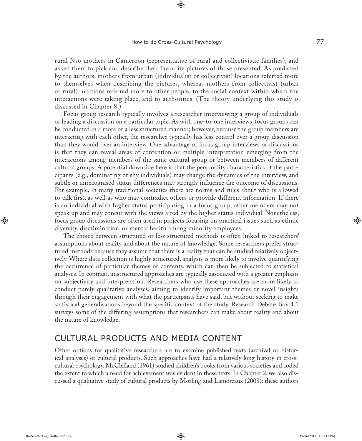#### How to do Cross-Cultural Psychology 77

⊕

rural Nso mothers in Cameroon (representative of rural and collectivistic families), and asked them to pick and describe their favourite pictures of those presented. As predicted by the authors, mothers from urban (individualist or collectivist) locations referred more to themselves when describing the pictures, whereas mothers from collectivist (urban or rural) locations referred more to other people, to the social context within which the interactions were taking place, and to authorities. (The theory underlying this study is discussed in Chapter 8.)

Focus group research typically involves a researcher interviewing a group of individuals or leading a discussion on a particular topic. As with one-to-one interviews, focus groups can be conducted in a more or a less structured manner; however, because the group members are interacting with each other, the researcher typically has less control over a group discussion than they would over an interview. One advantage of focus group interviews or discussions is that they can reveal areas of contention or multiple interpretation emerging from the interactions among members of the same cultural group or between members of different cultural groups. A potential downside here is that the personality characteristics of the participants (e.g., dominating or shy individuals) may change the dynamics of the interview, and subtle or unrecognised status differences may strongly influence the outcome of discussions. For example, in many traditional societies there are norms and rules about who is allowed to talk first, as well as who may contradict others or provide different information. If there is an individual with higher status participating in a focus group, other members may not speak up and may concur with the views aired by the higher status individual. Nonetheless, focus group discussions are often used in projects focusing on practical issues such as ethnic diversity, discrimination, or mental health among minority employees.

The choice between structured or less structured methods is often linked to researchers' assumptions about reality and about the nature of knowledge. Some researchers prefer structured methods because they assume that there is a reality that can be studied relatively objectively. Where data collection is highly structured, analysis is more likely to involve quantifying the occurrence of particular themes or contents, which can then be subjected to statistical analyses. In contrast, unstructured approaches are typically associated with a greater emphasis on subjectivity and interpretation. Researchers who use these approaches are more likely to conduct purely qualitative analyses, aiming to identify important themes or novel insights through their engagement with what the participants have said, but without seeking to make statistical generalisations beyond the specific context of the study. Research Debate Box 4.1 surveys some of the differing assumptions that researchers can make about reality and about the nature of knowledge.

# CULTURAL PRODUCTS AND MEDIA CONTENT

Other options for qualitative researchers are to examine published texts (archival or historical analyses) or cultural products. Such approaches have had a relatively long history in crosscultural psychology. McClelland (1961) studied children's books from various societies and coded the extent to which a need for achievement was evident in these texts. In Chapter 2, we also discussed a qualitative study of cultural products by Morling and Lamoreaux (2008): these authors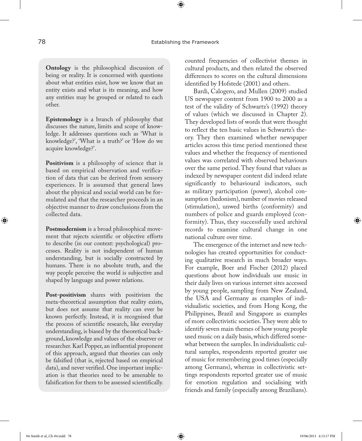**Ontology** is the philosophical discussion of being or reality. It is concerned with questions about what entities exist, how we know that an entity exists and what is its meaning, and how any entities may be grouped or related to each other.

**Epistemology** is a branch of philosophy that discusses the nature, limits and scope of knowledge. It addresses questions such as 'What is knowledge?', 'What is a truth?' or 'How do we acquire knowledge?'.

**Positivism** is a philosophy of science that is based on empirical observation and verification of data that can be derived from sensory experiences. It is assumed that general laws about the physical and social world can be formulated and that the researcher proceeds in an objective manner to draw conclusions from the collected data.

**Postmodernism** is a broad philosophical movement that rejects scientific or objective efforts to describe (in our context: psychological) processes. Reality is not independent of human understanding, but is socially constructed by humans. There is no absolute truth, and the way people perceive the world is subjective and shaped by language and power relations.

**Post-positivism** shares with positivism the meta-theoretical assumption that reality exists, but does not assume that reality can ever be known perfectly. Instead, it is recognised that the process of scientific research, like everyday understanding, is biased by the theoretical background, knowledge and values of the observer or researcher. Karl Popper, an influential proponent of this approach, argued that theories can only be falsified (that is, rejected based on empirical data), and never verified. One important implication is that theories need to be amenable to falsification for them to be assessed scientifically.

counted frequencies of collectivist themes in cultural products, and then related the observed differences to scores on the cultural dimensions identified by Hofstede (2001) and others.

Bardi, Calogero, and Mullen (2009) studied US newspaper content from 1900 to 2000 as a test of the validity of Schwartz's (1992) theory of values (which we discussed in Chapter 2). They developed lists of words that were thought to reflect the ten basic values in Schwartz's theory. They then examined whether newspaper articles across this time period mentioned these values and whether the frequency of mentioned values was correlated with observed behaviours over the same period. They found that values as indexed by newspaper content did indeed relate significantly to behavioural indicators, such as military participation (power), alcohol consumption (hedonism), number of movies released (stimulation), unwed births (conformity) and numbers of police and guards employed (conformity). Thus, they successfully used archival records to examine cultural change in one national culture over time.

The emergence of the internet and new technologies has created opportunities for conducting qualitative research in much broader ways. For example, Boer and Fischer (2012) placed questions about how individuals use music in their daily lives on various internet sites accessed by young people, sampling from New Zealand, the USA and Germany as examples of individualistic societies, and from Hong Kong, the Philippines, Brazil and Singapore as examples of more collectivistic societies. They were able to identify seven main themes of how young people used music on a daily basis, which differed somewhat between the samples. In individualistic cultural samples, respondents reported greater use of music for remembering good times (especially among Germans), whereas in collectivistic settings respondents reported greater use of music for emotion regulation and socialising with friends and family (especially among Brazilians).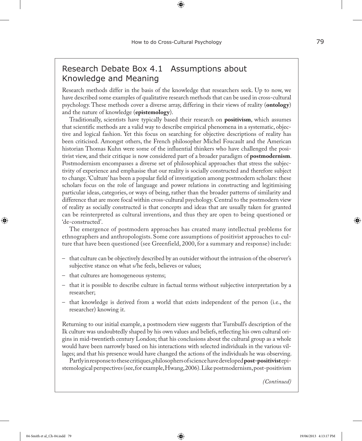# Research Debate Box 4.1 Assumptions about Knowledge and Meaning

Research methods differ in the basis of the knowledge that researchers seek. Up to now, we have described some examples of qualitative research methods that can be used in cross-cultural psychology. These methods cover a diverse array, differing in their views of reality (**ontology**) and the nature of knowledge (**epistemology**).

Traditionally, scientists have typically based their research on **positivism**, which assumes that scientific methods are a valid way to describe empirical phenomena in a systematic, objective and logical fashion. Yet this focus on searching for objective descriptions of reality has been criticised. Amongst others, the French philosopher Michel Foucault and the American historian Thomas Kuhn were some of the influential thinkers who have challenged the positivist view, and their critique is now considered part of a broader paradigm of **postmodernism**. Postmodernism encompasses a diverse set of philosophical approaches that stress the subjectivity of experience and emphasise that our reality is socially constructed and therefore subject to change. 'Culture' has been a popular field of investigation among postmodern scholars: these scholars focus on the role of language and power relations in constructing and legitimising particular ideas, categories, or ways of being, rather than the broader patterns of similarity and difference that are more focal within cross-cultural psychology. Central to the postmodern view of reality as socially constructed is that concepts and ideas that are usually taken for granted can be reinterpreted as cultural inventions, and thus they are open to being questioned or 'de-constructed'.

The emergence of postmodern approaches has created many intellectual problems for ethnographers and anthropologists. Some core assumptions of positivist approaches to culture that have been questioned (see Greenfield, 2000, for a summary and response) include:

- that culture can be objectively described by an outsider without the intrusion of the observer's subjective stance on what s/he feels, believes or values;
- that cultures are homogeneous systems;
- that it is possible to describe culture in factual terms without subjective interpretation by a researcher;
- that knowledge is derived from a world that exists independent of the person (i.e., the researcher) knowing it.

Returning to our initial example, a postmodern view suggests that Turnbull's description of the Ik culture was undoubtedly shaped by his own values and beliefs, reflecting his own cultural origins in mid-twentieth century London; that his conclusions about the cultural group as a whole would have been narrowly based on his interactions with selected individuals in the various villages; and that his presence would have changed the actions of the individuals he was observing.

Partly in response to these critiques, philosophers of science have developed **post-positivist** epistemological perspectives (see, for example, Hwang, 2006). Like postmodernism, post-positivism

*(Continued)*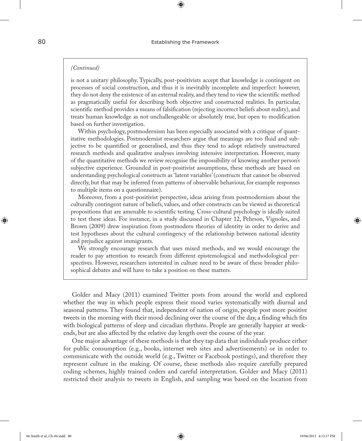#### *(Continued)*

is not a unitary philosophy. Typically, post-positivists accept that knowledge is contingent on processes of social construction, and thus it is inevitably incomplete and imperfect: however, they do not deny the existence of an external reality, and they tend to view the scientific method as pragmatically useful for describing both objective and constructed realities. In particular, scientific method provides a means of falsification (rejecting incorrect beliefs about reality), and treats human knowledge as not unchallengeable or absolutely true, but open to modification based on further investigation.

Within psychology, postmodernism has been especially associated with a critique of quantitative methodologies. Postmodernist researchers argue that meanings are too fluid and subjective to be quantified or generalised, and thus they tend to adopt relatively unstructured research methods and qualitative analyses involving intensive interpretation. However, many of the quantitative methods we review recognise the impossibility of knowing another person's subjective experience. Grounded in post-positivist assumptions, these methods are based on understanding psychological constructs as 'latent variables' (constructs that cannot be observed directly, but that may be inferred from patterns of observable behaviour, for example responses to multiple items on a questionnaire).

Moreover, from a post-positivist perspective, ideas arising from postmodernism about the culturally contingent nature of beliefs, values, and other constructs can be viewed as theoretical propositions that are amenable to scientific testing. Cross-cultural psychology is ideally suited to test these ideas. For instance, in a study discussed in Chapter 12, Pehrson, Vignoles, and Brown (2009) drew inspiration from postmodern theories of identity in order to derive and test hypotheses about the cultural contingency of the relationship between national identity and prejudice against immigrants.

We strongly encourage research that uses mixed methods, and we would encourage the reader to pay attention to research from different epistemological and methodological perspectives. However, researchers interested in culture need to be aware of these broader philosophical debates and will have to take a position on these matters.

Golder and Macy (2011) examined Twitter posts from around the world and explored whether the way in which people express their mood varies systematically with diurnal and seasonal patterns. They found that, independent of nation of origin, people post more positive tweets in the morning with their mood declining over the course of the day, a finding which fits with biological patterns of sleep and circadian rhythms. People are generally happier at weekends, but are also affected by the relative day length over the course of the year.

One major advantage of these methods is that they tap data that individuals produce either for public consumption (e.g., books, internet web sites and advertisements) or in order to communicate with the outside world (e.g., Twitter or Facebook postings), and therefore they represent culture in the making. Of course, these methods also require carefully prepared coding schemes, highly trained coders and careful interpretation. Golder and Macy (2011) restricted their analysis to tweets in English, and sampling was based on the location from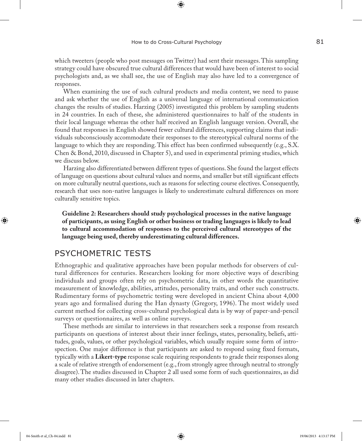#### How to do Cross-Cultural Psychology 81

⊕

which tweeters (people who post messages on Twitter) had sent their messages. This sampling strategy could have obscured true cultural differences that would have been of interest to social psychologists and, as we shall see, the use of English may also have led to a convergence of responses.

When examining the use of such cultural products and media content, we need to pause and ask whether the use of English as a universal language of international communication changes the results of studies. Harzing (2005) investigated this problem by sampling students in 24 countries. In each of these, she administered questionnaires to half of the students in their local language whereas the other half received an English language version. Overall, she found that responses in English showed fewer cultural differences, supporting claims that individuals subconsciously accommodate their responses to the stereotypical cultural norms of the language to which they are responding. This effect has been confirmed subsequently (e.g., S.X. Chen & Bond, 2010, discussed in Chapter 5), and used in experimental priming studies, which we discuss below.

Harzing also differentiated between different types of questions. She found the largest effects of language on questions about cultural values and norms, and smaller but still significant effects on more culturally neutral questions, such as reasons for selecting course electives. Consequently, research that uses non-native languages is likely to underestimate cultural differences on more culturally sensitive topics.

**Guideline 2: Researchers should study psychological processes in the native language of participants, as using English or other business or trading languages is likely to lead to cultural accommodation of responses to the perceived cultural stereotypes of the language being used, thereby underestimating cultural differences.** 

# PSYCHOMETRIC TESTS

Ethnographic and qualitative approaches have been popular methods for observers of cultural differences for centuries. Researchers looking for more objective ways of describing individuals and groups often rely on psychometric data, in other words the quantitative measurement of knowledge, abilities, attitudes, personality traits, and other such constructs. Rudimentary forms of psychometric testing were developed in ancient China about 4,000 years ago and formalised during the Han dynasty (Gregory, 1996). The most widely used current method for collecting cross-cultural psychological data is by way of paper-and-pencil surveys or questionnaires, as well as online surveys.

These methods are similar to interviews in that researchers seek a response from research participants on questions of interest about their inner feelings, states, personality, beliefs, attitudes, goals, values, or other psychological variables, which usually require some form of introspection. One major difference is that participants are asked to respond using fixed formats, typically with a **Likert-type** response scale requiring respondents to grade their responses along a scale of relative strength of endorsement (e.g., from strongly agree through neutral to strongly disagree). The studies discussed in Chapter 2 all used some form of such questionnaires, as did many other studies discussed in later chapters.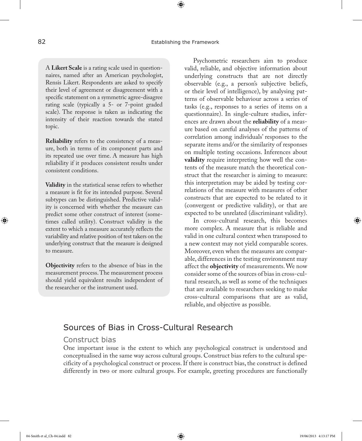A **Likert Scale** is a rating scale used in questionnaires, named after an American psychologist, Rensis Likert. Respondents are asked to specify their level of agreement or disagreement with a specific statement on a symmetric agree-disagree rating scale (typically a 5- or 7-point graded scale). The response is taken as indicating the intensity of their reaction towards the stated topic.

**Reliability** refers to the consistency of a measure, both in terms of its component parts and its repeated use over time. A measure has high reliability if it produces consistent results under consistent conditions.

**Validity** in the statistical sense refers to whether a measure is fit for its intended purpose. Several subtypes can be distinguished. Predictive validity is concerned with whether the measure can predict some other construct of interest (sometimes called utility). Construct validity is the extent to which a measure accurately reflects the variability and relative position of test takers on the underlying construct that the measure is designed to measure.

**Objectivity** refers to the absence of bias in the measurement process. The measurement process should yield equivalent results independent of the researcher or the instrument used.

Psychometric researchers aim to produce valid, reliable, and objective information about underlying constructs that are not directly observable (e.g., a person's subjective beliefs, or their level of intelligence), by analysing patterns of observable behaviour across a series of tasks (e.g., responses to a series of items on a questionnaire). In single-culture studies, inferences are drawn about the **reliability** of a measure based on careful analyses of the patterns of correlation among individuals' responses to the separate items and/or the similarity of responses on multiple testing occasions. Inferences about **validity** require interpreting how well the contents of the measure match the theoretical construct that the researcher is aiming to measure: this interpretation may be aided by testing correlations of the measure with measures of other constructs that are expected to be related to it (convergent or predictive validity), or that are expected to be unrelated (discriminant validity).

In cross-cultural research, this becomes more complex. A measure that is reliable and valid in one cultural context when transposed to a new context may not yield comparable scores. Moreover, even when the measures are comparable, differences in the testing environment may affect the **objectivity** of measurements. We now consider some of the sources of bias in cross-cultural research, as well as some of the techniques that are available to researchers seeking to make cross-cultural comparisons that are as valid, reliable, and objective as possible.

# Sources of Bias in Cross-Cultural Research

## Construct bias

One important issue is the extent to which any psychological construct is understood and conceptualised in the same way across cultural groups. Construct bias refers to the cultural specificity of a psychological construct or process. If there is construct bias, the construct is defined differently in two or more cultural groups. For example, greeting procedures are functionally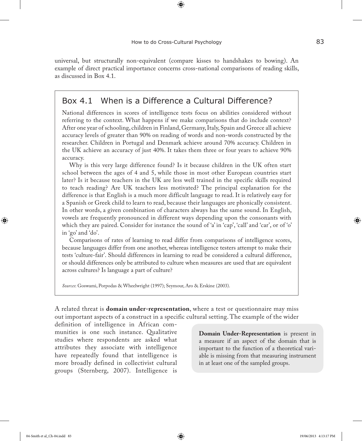#### How to do Cross-Cultural Psychology 83

⊕

universal, but structurally non-equivalent (compare kisses to handshakes to bowing). An example of direct practical importance concerns cross-national comparisons of reading skills, as discussed in Box 4.1.

# Box 4.1 When is a Difference a Cultural Difference?

National differences in scores of intelligence tests focus on abilities considered without referring to the context. What happens if we make comparisons that do include context? After one year of schooling, children in Finland, Germany, Italy, Spain and Greece all achieve accuracy levels of greater than 90% on reading of words and non-words constructed by the researcher. Children in Portugal and Denmark achieve around 70% accuracy. Children in the UK achieve an accuracy of just 40%. It takes them three or four years to achieve 90% accuracy.

Why is this very large difference found? Is it because children in the UK often start school between the ages of 4 and 5, while those in most other European countries start later? Is it because teachers in the UK are less well trained in the specific skills required to teach reading? Are UK teachers less motivated? The principal explanation for the difference is that English is a much more difficult language to read. It is relatively easy for a Spanish or Greek child to learn to read, because their languages are phonically consistent. In other words, a given combination of characters always has the same sound. In English, vowels are frequently pronounced in different ways depending upon the consonants with which they are paired. Consider for instance the sound of 'a' in 'cap', 'call' and 'car', or of 'o' in 'go' and 'do'.

Comparisons of rates of learning to read differ from comparisons of intelligence scores, because languages differ from one another, whereas intelligence testers attempt to make their tests 'culture-fair'. Should differences in learning to read be considered a cultural difference, or should differences only be attributed to culture when measures are used that are equivalent across cultures? Is language a part of culture?

*Sources*: Goswami, Porpodas & Wheelwright (1997); Seymour, Aro & Erskine (2003).

A related threat is **domain under-representation**, where a test or questionnaire may miss out important aspects of a construct in a specific cultural setting. The example of the wider

definition of intelligence in African communities is one such instance. Qualitative studies where respondents are asked what attributes they associate with intelligence have repeatedly found that intelligence is more broadly defined in collectivist cultural groups (Sternberg, 2007). Intelligence is

**Domain Under-Representation** is present in a measure if an aspect of the domain that is important to the function of a theoretical variable is missing from that measuring instrument in at least one of the sampled groups.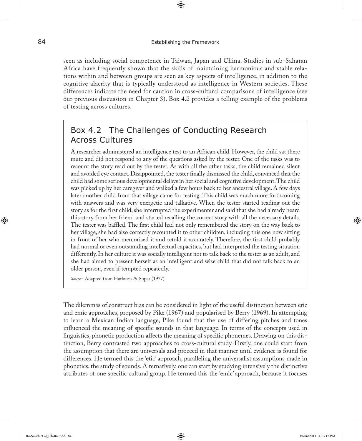#### 84 **Band Branch Establishing the Framework** Establishing the Framework

⊕

seen as including social competence in Taiwan, Japan and China. Studies in sub-Saharan Africa have frequently shown that the skills of maintaining harmonious and stable relations within and between groups are seen as key aspects of intelligence, in addition to the cognitive alacrity that is typically understood as intelligence in Western societies. These differences indicate the need for caution in cross-cultural comparisons of intelligence (see our previous discussion in Chapter 3). Box 4.2 provides a telling example of the problems of testing across cultures.

# Box 4.2 The Challenges of Conducting Research Across Cultures

A researcher administered an intelligence test to an African child. However, the child sat there mute and did not respond to any of the questions asked by the tester. One of the tasks was to recount the story read out by the tester. As with all the other tasks, the child remained silent and avoided eye contact. Disappointed, the tester finally dismissed the child, convinced that the child had some serious developmental delays in her social and cognitive development. The child was picked up by her caregiver and walked a few hours back to her ancestral village. A few days later another child from that village came for testing. This child was much more forthcoming with answers and was very energetic and talkative. When the tester started reading out the story as for the first child, she interrupted the experimenter and said that she had already heard this story from her friend and started recalling the correct story with all the necessary details. The tester was baffled. The first child had not only remembered the story on the way back to her village, she had also correctly recounted it to other children, including this one now sitting in front of her who memorised it and retold it accurately. Therefore, the first child probably had normal or even outstanding intellectual capacities, but had interpreted the testing situation differently. In her culture it was socially intelligent not to talk back to the tester as an adult, and she had aimed to present herself as an intelligent and wise child that did not talk back to an older person, even if tempted repeatedly.

*Source*: Adapted from Harkness & Super (1977).

The dilemmas of construct bias can be considered in light of the useful distinction between etic and emic approaches, proposed by Pike (1967) and popularised by Berry (1969). In attempting to learn a Mexican Indian language, Pike found that the use of differing pitches and tones influenced the meaning of specific sounds in that language. In terms of the concepts used in linguistics, phonetic production affects the meaning of specific phonemes. Drawing on this distinction, Berry contrasted two approaches to cross-cultural study. Firstly, one could start from the assumption that there are universals and proceed in that manner until evidence is found for differences. He termed this the 'etic' approach, paralleling the universalist assumptions made in phonetics, the study of sounds. Alternatively, one can start by studying intensively the distinctive attributes of one specific cultural group. He termed this the 'emic' approach, because it focuses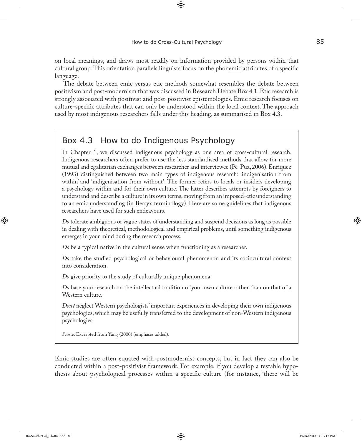#### How to do Cross-Cultural Psychology and the state of the 85

⊕

on local meanings, and draws most readily on information provided by persons within that cultural group. This orientation parallels linguists' focus on the phonemic attributes of a specific language.

The debate between emic versus etic methods somewhat resembles the debate between positivism and post-modernism that was discussed in Research Debate Box 4.1. Etic research is strongly associated with positivist and post-positivist epistemologies. Emic research focuses on culture-specific attributes that can only be understood within the local context. The approach used by most indigenous researchers falls under this heading, as summarised in Box 4.3.

# Box 4.3 How to do Indigenous Psychology

In Chapter 1, we discussed indigenous psychology as one area of cross-cultural research. Indigenous researchers often prefer to use the less standardised methods that allow for more mutual and egalitarian exchanges between researcher and interviewee (Pe-Pua, 2006). Enriquez (1993) distinguished between two main types of indigenous research: 'indigenisation from within' and 'indigenisation from without'. The former refers to locals or insiders developing a psychology within and for their own culture. The latter describes attempts by foreigners to understand and describe a culture in its own terms, moving from an imposed-etic understanding to an emic understanding (in Berry's terminology). Here are some guidelines that indigenous researchers have used for such endeavours.

*Do* tolerate ambiguous or vague states of understanding and suspend decisions as long as possible in dealing with theoretical, methodological and empirical problems, until something indigenous emerges in your mind during the research process.

*Do* be a typical native in the cultural sense when functioning as a researcher.

*Do* take the studied psychological or behavioural phenomenon and its sociocultural context into consideration.

*Do* give priority to the study of culturally unique phenomena.

*Do* base your research on the intellectual tradition of your own culture rather than on that of a Western culture.

*Don't* neglect Western psychologists' important experiences in developing their own indigenous psychologies, which may be usefully transferred to the development of non-Western indigenous psychologies.

*Source*: Excerpted from Yang (2000) (emphases added).

Emic studies are often equated with postmodernist concepts, but in fact they can also be conducted within a post-positivist framework. For example, if you develop a testable hypothesis about psychological processes within a specific culture (for instance, 'there will be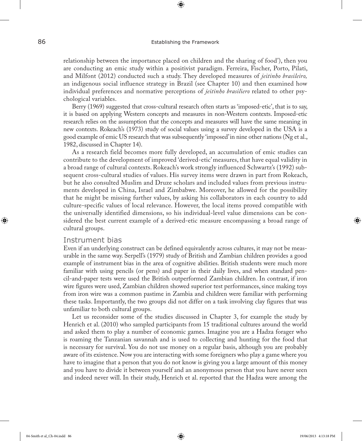#### 86 **Billion Establishing the Framework Establishing the Framework**

⊕

relationship between the importance placed on children and the sharing of food'), then you are conducting an emic study within a positivist paradigm. Ferreira, Fischer, Porto, Pilati, and Milfont (2012) conducted such a study. They developed measures of *jeitinho brasileiro,* an indigenous social influence strategy in Brazil (see Chapter 10) and then examined how individual preferences and normative perceptions of *jeitinho brasiliero* related to other psychological variables.

Berry (1969) suggested that cross-cultural research often starts as 'imposed-etic', that is to say, it is based on applying Western concepts and measures in non-Western contexts. Imposed-etic research relies on the assumption that the concepts and measures will have the same meaning in new contexts. Rokeach's (1973) study of social values using a survey developed in the USA is a good example of emic US research that was subsequently 'imposed' in nine other nations (Ng et al., 1982, discussed in Chapter 14).

As a research field becomes more fully developed, an accumulation of emic studies can contribute to the development of improved 'derived-etic' measures, that have equal validity in a broad range of cultural contexts. Rokeach's work strongly influenced Schwartz's (1992) subsequent cross-cultural studies of values. His survey items were drawn in part from Rokeach, but he also consulted Muslim and Druze scholars and included values from previous instruments developed in China, Israel and Zimbabwe. Moreover, he allowed for the possibility that he might be missing further values, by asking his collaborators in each country to add culture-specific values of local relevance. However, the local items proved compatible with the universally identified dimensions, so his individual-level value dimensions can be considered the best current example of a derived-etic measure encompassing a broad range of cultural groups.

## Instrument bias

Even if an underlying construct can be defined equivalently across cultures, it may not be measurable in the same way. Serpell's (1979) study of British and Zambian children provides a good example of instrument bias in the area of cognitive abilities. British students were much more familiar with using pencils (or pens) and paper in their daily lives, and when standard pencil-and-paper tests were used the British outperformed Zambian children. In contrast, if iron wire figures were used, Zambian children showed superior test performances, since making toys from iron wire was a common pastime in Zambia and children were familiar with performing these tasks. Importantly, the two groups did not differ on a task involving clay figures that was unfamiliar to both cultural groups.

Let us reconsider some of the studies discussed in Chapter 3, for example the study by Henrich et al. (2010) who sampled participants from 15 traditional cultures around the world and asked them to play a number of economic games. Imagine you are a Hadza forager who is roaming the Tanzanian savannah and is used to collecting and hunting for the food that is necessary for survival. You do not use money on a regular basis, although you are probably aware of its existence. Now you are interacting with some foreigners who play a game where you have to imagine that a person that you do not know is giving you a large amount of this money and you have to divide it between yourself and an anonymous person that you have never seen and indeed never will. In their study, Henrich et al. reported that the Hadza were among the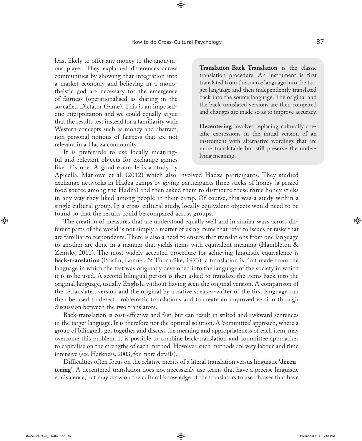least likely to offer any money to the anonymous player. They explained differences across communities by showing that integration into a market economy and believing in a monotheistic god are necessary for the emergence of fairness (operationalised as sharing in the so-called Dictator Game). This is an imposedetic interpretation and we could equally argue that the results test instead for a familiarity with Western concepts such as money and abstract, non-personal notions of fairness that are not relevant in a Hadza community.

It is preferable to use locally meaningful and relevant objects for exchange games like this one. A good example is a study by

**Translation-Back Translation** is the classic translation procedure. An instrument is first translated from the source language into the target language and then independently translated back into the source language. The original and the back-translated versions are then compared and changes are made so as to improve accuracy.

**Decentering** involves replacing culturally specific expressions in the initial version of an instrument with alternative wordings that are more translatable but still preserve the underlying meaning.

Apicella, Marlowe et al. (2012) which also involved Hadza participants. They studied exchange networks in Hadza camps by giving participants three sticks of honey (a prized food source among the Hadza) and then asked them to distribute these three honey sticks in any way they liked among people in their camp. Of course, this was a study within a single cultural group. In a cross-cultural study, locally equivalent objects would need to be found so that the results could be compared across groups.

The creation of measures that are understood equally well and in similar ways across different parts of the world is not simply a matter of using items that refer to issues or tasks that are familiar to respondents. There is also a need to ensure that translations from one language to another are done in a manner that yields items with equivalent meaning (Hambleton & Zenisky, 2011). The most widely accepted procedure for achieving linguistic equivalence is **back-translation** (Brislin, Lonner, & Thorndike, 1973): a translation is first made from the language in which the test was originally developed into the language of the society in which it is to be used. A second bilingual person is then asked to translate the items back into the original language, usually English, without having seen the original version. A comparison of the retranslated version and the original by a native speaker-writer of the first language can then be used to detect problematic translations and to create an improved version through discussion between the two translators.

Back-translation is cost-effective and fast, but can result in stilted and awkward sentences in the target language. It is therefore not the optimal solution. A 'committee' approach, where a group of bilinguals get together and discuss the meaning and appropriateness of each item, may overcome this problem. It is possible to combine back-translation and committee approaches to capitalise on the strengths of each method. However, such methods are very labour and time intensive (see Harkness, 2003, for more details).

Difficulties often focus on the relative merits of a literal translation versus linguistic '**decentering**'. A decentered translation does not necessarily use terms that have a precise linguistic equivalence, but may draw on the cultural knowledge of the translators to use phrases that have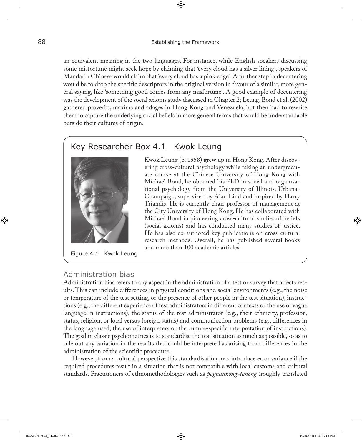#### 88 **B** Establishing the Framework

⊕

an equivalent meaning in the two languages. For instance, while English speakers discussing some misfortune might seek hope by claiming that 'every cloud has a silver lining', speakers of Mandarin Chinese would claim that 'every cloud has a pink edge'. A further step in decentering would be to drop the specific descriptors in the original version in favour of a similar, more general saying, like 'something good comes from any misfortune'. A good example of decentering was the development of the social axioms study discussed in Chapter 2; Leung, Bond et al. (2002) gathered proverbs, maxims and adages in Hong Kong and Venezuela, but then had to rewrite them to capture the underlying social beliefs in more general terms that would be understandable outside their cultures of origin.

# Key Researcher Box 4.1 Kwok Leung



Figure 4.1 Kwok Leung

Kwok Leung (b. 1958) grew up in Hong Kong. After discovering cross-cultural psychology while taking an undergraduate course at the Chinese University of Hong Kong with Michael Bond, he obtained his PhD in social and organisational psychology from the University of Illinois, Urbana-Champaign, supervised by Alan Lind and inspired by Harry Triandis. He is currently chair professor of management at the City University of Hong Kong. He has collaborated with Michael Bond in pioneering cross-cultural studies of beliefs (social axioms) and has conducted many studies of justice. He has also co-authored key publications on cross-cultural research methods. Overall, he has published several books and more than 100 academic articles.

# Administration bias

Administration bias refers to any aspect in the administration of a test or survey that affects results. This can include differences in physical conditions and social environments (e.g., the noise or temperature of the test setting, or the presence of other people in the test situation), instructions (e.g., the different experience of test administrators in different contexts or the use of vague language in instructions), the status of the test administrator (e.g., their ethnicity, profession, status, religion, or local versus foreign status) and communication problems (e.g., differences in the language used, the use of interpreters or the culture-specific interpretation of instructions). The goal in classic psychometrics is to standardise the test situation as much as possible, so as to rule out any variation in the results that could be interpreted as arising from differences in the administration of the scientific procedure.

However, from a cultural perspective this standardisation may introduce error variance if the required procedures result in a situation that is not compatible with local customs and cultural standards. Practitioners of ethnomethodologies such as *pagtatanong-tanong* (roughly translated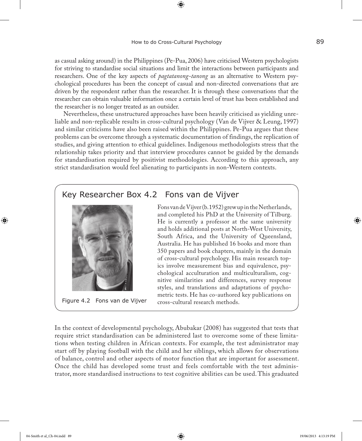as casual asking around) in the Philippines (Pe-Pua, 2006) have criticised Western psychologists for striving to standardise social situations and limit the interactions between participants and researchers. One of the key aspects of *pagtatanong-tanong* as an alternative to Western psychological procedures has been the concept of casual and non-directed conversations that are driven by the respondent rather than the researcher. It is through these conversations that the researcher can obtain valuable information once a certain level of trust has been established and the researcher is no longer treated as an outsider.

Nevertheless, these unstructured approaches have been heavily criticised as yielding unreliable and non-replicable results in cross-cultural psychology (Van de Vijver & Leung, 1997) and similar criticisms have also been raised within the Philippines. Pe-Pua argues that these problems can be overcome through a systematic documentation of findings, the replication of studies, and giving attention to ethical guidelines. Indigenous methodologists stress that the relationship takes priority and that interview procedures cannot be guided by the demands for standardisation required by positivist methodologies. According to this approach, any strict standardisation would feel alienating to participants in non-Western contexts.

# Key Researcher Box 4.2 Fons van de Vijver



Figure 4.2 Fons van de Vijver

Fons van de Vijver (b. 1952) grew up in the Netherlands, and completed his PhD at the University of Tilburg. He is currently a professor at the same university and holds additional posts at North-West University, South Africa, and the University of Queensland, Australia. He has published 16 books and more than 350 papers and book chapters, mainly in the domain of cross-cultural psychology. His main research topics involve measurement bias and equivalence, psychological acculturation and multiculturalism, cognitive similarities and differences, survey response styles, and translations and adaptations of psychometric tests. He has co-authored key publications on cross-cultural research methods.

In the context of developmental psychology, Abubakar (2008) has suggested that tests that require strict standardisation can be administered last to overcome some of these limitations when testing children in African contexts. For example, the test administrator may start off by playing football with the child and her siblings, which allows for observations of balance, control and other aspects of motor function that are important for assessment. Once the child has developed some trust and feels comfortable with the test administrator, more standardised instructions to test cognitive abilities can be used. This graduated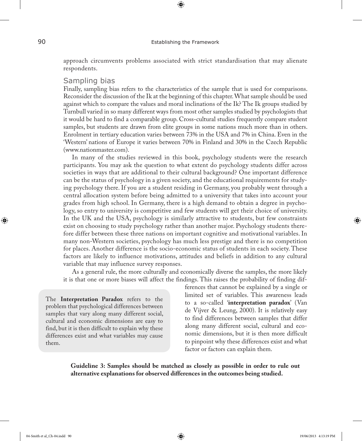#### 90 Establishing the Framework

⊕

approach circumvents problems associated with strict standardisation that may alienate respondents.

#### Sampling bias

Finally, sampling bias refers to the characteristics of the sample that is used for comparisons. Reconsider the discussion of the Ik at the beginning of this chapter. What sample should be used against which to compare the values and moral inclinations of the Ik? The Ik groups studied by Turnbull varied in so many different ways from most other samples studied by psychologists that it would be hard to find a comparable group. Cross-cultural studies frequently compare student samples, but students are drawn from elite groups in some nations much more than in others. Enrolment in tertiary education varies between 73% in the USA and 7% in China. Even in the 'Western' nations of Europe it varies between 70% in Finland and 30% in the Czech Republic (www.nationmaster.com).

In many of the studies reviewed in this book, psychology students were the research participants. You may ask the question to what extent do psychology students differ across societies in ways that are additional to their cultural background? One important difference can be the status of psychology in a given society, and the educational requirements for studying psychology there. If you are a student residing in Germany, you probably went through a central allocation system before being admitted to a university that takes into account your grades from high school. In Germany, there is a high demand to obtain a degree in psychology, so entry to university is competitive and few students will get their choice of university. In the UK and the USA, psychology is similarly attractive to students, but few constraints exist on choosing to study psychology rather than another major. Psychology students therefore differ between these three nations on important cognitive and motivational variables. In many non-Western societies, psychology has much less prestige and there is no competition for places. Another difference is the socio-economic status of students in each society. These factors are likely to influence motivations, attitudes and beliefs in addition to any cultural variable that may influence survey responses.

As a general rule, the more culturally and economically diverse the samples, the more likely it is that one or more biases will affect the findings. This raises the probability of finding dif-

The **Interpretation Paradox** refers to the problem that psychological differences between samples that vary along many different social, cultural and economic dimensions are easy to find, but it is then difficult to explain why these differences exist and what variables may cause them.

ferences that cannot be explained by a single or limited set of variables. This awareness leads to a so-called '**interpretation paradox**' (Van de Vijver & Leung, 2000). It is relatively easy to find differences between samples that differ along many different social, cultural and economic dimensions, but it is then more difficult to pinpoint why these differences exist and what factor or factors can explain them.

**Guideline 3: Samples should be matched as closely as possible in order to rule out alternative explanations for observed differences in the outcomes being studied.**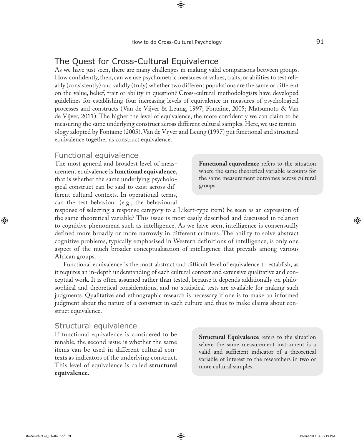# The Quest for Cross-Cultural Equivalence

As we have just seen, there are many challenges in making valid comparisons between groups. How confidently, then, can we use psychometric measures of values, traits, or abilities to test reliably (consistently) and validly (truly) whether two different populations are the same or different on the value, belief, trait or ability in question? Cross-cultural methodologists have developed guidelines for establishing four increasing levels of equivalence in measures of psychological processes and constructs (Van de Vijver & Leung, 1997; Fontaine, 2005; Matsumoto & Van de Vijver, 2011). The higher the level of equivalence, the more confidently we can claim to be measuring the same underlying construct across different cultural samples. Here, we use terminology adopted by Fontaine (2005). Van de Vijver and Leung (1997) put functional and structural equivalence together as construct equivalence.

# Functional equivalence

The most general and broadest level of measurement equivalence is **functional equivalence**, that is whether the same underlying psychological construct can be said to exist across different cultural contexts. In operational terms, can the test behaviour (e.g., the behavioural **Functional equivalence** refers to the situation where the same theoretical variable accounts for the same measurement outcomes across cultural groups.

response of selecting a response category to a Likert-type item) be seen as an expression of the same theoretical variable? This issue is most easily described and discussed in relation to cognitive phenomena such as intelligence. As we have seen, intelligence is consensually defined more broadly or more narrowly in different cultures. The ability to solve abstract cognitive problems, typically emphasised in Western definitions of intelligence, is only one aspect of the much broader conceptualisation of intelligence that prevails among various African groups.

Functional equivalence is the most abstract and difficult level of equivalence to establish, as it requires an in-depth understanding of each cultural context and extensive qualitative and conceptual work. It is often assumed rather than tested, because it depends additionally on philosophical and theoretical considerations, and no statistical tests are available for making such judgments. Qualitative and ethnographic research is necessary if one is to make an informed judgment about the nature of a construct in each culture and thus to make claims about construct equivalence.

### Structural equivalence

If functional equivalence is considered to be tenable, the second issue is whether the same items can be used in different cultural contexts as indicators of the underlying construct. This level of equivalence is called **structural equivalence**.

**Structural Equivalence** refers to the situation where the same measurement instrument is a valid and sufficient indicator of a theoretical variable of interest to the researchers in two or more cultural samples.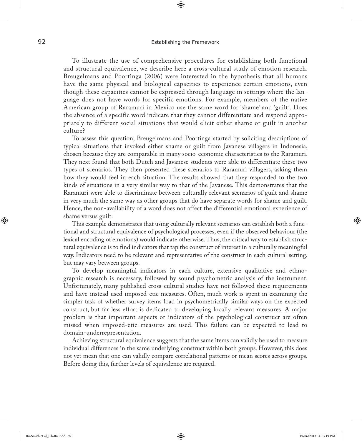#### 92 Establishing the Framework

⊕

To illustrate the use of comprehensive procedures for establishing both functional and structural equivalence, we describe here a cross-cultural study of emotion research. Breugelmans and Poortinga (2006) were interested in the hypothesis that all humans have the same physical and biological capacities to experience certain emotions, even though these capacities cannot be expressed through language in settings where the language does not have words for specific emotions. For example, members of the native American group of Raramuri in Mexico use the same word for 'shame' and 'guilt'. Does the absence of a specific word indicate that they cannot differentiate and respond appropriately to different social situations that would elicit either shame or guilt in another culture?

To assess this question, Breugelmans and Poortinga started by soliciting descriptions of typical situations that invoked either shame or guilt from Javanese villagers in Indonesia, chosen because they are comparable in many socio-economic characteristics to the Raramuri. They next found that both Dutch and Javanese students were able to differentiate these two types of scenarios. They then presented these scenarios to Raramuri villagers, asking them how they would feel in each situation. The results showed that they responded to the two kinds of situations in a very similar way to that of the Javanese. This demonstrates that the Raramuri were able to discriminate between culturally relevant scenarios of guilt and shame in very much the same way as other groups that do have separate words for shame and guilt. Hence, the non-availability of a word does not affect the differential emotional experience of shame versus guilt.

This example demonstrates that using culturally relevant scenarios can establish both a functional and structural equivalence of psychological processes, even if the observed behaviour (the lexical encoding of emotions) would indicate otherwise. Thus, the critical way to establish structural equivalence is to find indicators that tap the construct of interest in a culturally meaningful way. Indicators need to be relevant and representative of the construct in each cultural setting, but may vary between groups.

To develop meaningful indicators in each culture, extensive qualitative and ethnographic research is necessary, followed by sound psychometric analysis of the instrument. Unfortunately, many published cross-cultural studies have not followed these requirements and have instead used imposed-etic measures. Often, much work is spent in examining the simpler task of whether survey items load in psychometrically similar ways on the expected construct, but far less effort is dedicated to developing locally relevant measures. A major problem is that important aspects or indicators of the psychological construct are often missed when imposed-etic measures are used. This failure can be expected to lead to domain-underrepresentation.

Achieving structural equivalence suggests that the same items can validly be used to measure individual differences in the same underlying construct within both groups. However, this does not yet mean that one can validly compare correlational patterns or mean scores across groups. Before doing this, further levels of equivalence are required.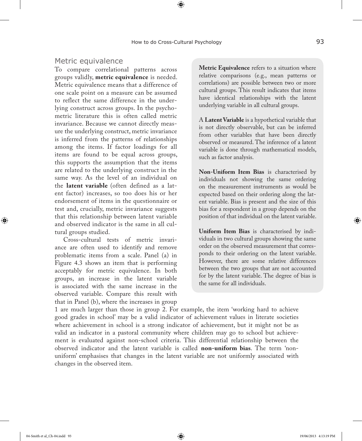# Metric equivalence

To compare correlational patterns across groups validly, **metric equivalence** is needed. Metric equivalence means that a difference of one scale point on a measure can be assumed to reflect the same difference in the underlying construct across groups. In the psychometric literature this is often called metric invariance. Because we cannot directly measure the underlying construct, metric invariance is inferred from the patterns of relationships among the items. If factor loadings for all items are found to be equal across groups, this supports the assumption that the items are related to the underlying construct in the same way. As the level of an individual on the **latent variable** (often defined as a latent factor) increases, so too does his or her endorsement of items in the questionnaire or test and, crucially, metric invariance suggests that this relationship between latent variable and observed indicator is the same in all cultural groups studied.

Cross-cultural tests of metric invariance are often used to identify and remove problematic items from a scale. Panel (a) in Figure 4.3 shows an item that is performing acceptably for metric equivalence. In both groups, an increase in the latent variable is associated with the same increase in the observed variable. Compare this result with that in Panel (b), where the increases in group **Metric Equivalence** refers to a situation where relative comparisons (e.g., mean patterns or correlations) are possible between two or more cultural groups. This result indicates that items have identical relationships with the latent underlying variable in all cultural groups.

A **Latent Variable** is a hypothetical variable that is not directly observable, but can be inferred from other variables that have been directly observed or measured. The inference of a latent variable is done through mathematical models, such as factor analysis.

**Non-Uniform Item Bias** is characterised by individuals not showing the same ordering on the measurement instruments as would be expected based on their ordering along the latent variable. Bias is present and the size of this bias for a respondent in a group depends on the position of that individual on the latent variable.

**Uniform Item Bias** is characterised by individuals in two cultural groups showing the same order on the observed measurement that corresponds to their ordering on the latent variable. However, there are some relative differences between the two groups that are not accounted for by the latent variable. The degree of bias is the same for all individuals.

1 are much larger than those in group 2. For example, the item 'working hard to achieve good grades in school' may be a valid indicator of achievement values in literate societies where achievement in school is a strong indicator of achievement, but it might not be as valid an indicator in a pastoral community where children may go to school but achievement is evaluated against non-school criteria. This differential relationship between the observed indicator and the latent variable is called **non-uniform bias**. The term 'nonuniform' emphasises that changes in the latent variable are not uniformly associated with changes in the observed item.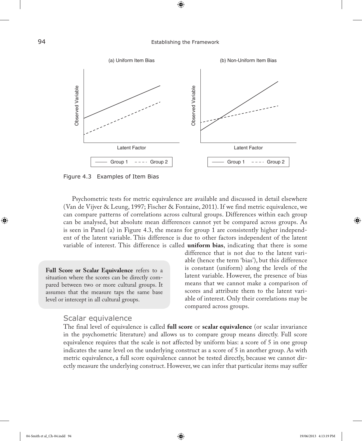#### 94 Establishing the Framework

⊕



Figure 4.3 Examples of Item Bias

Psychometric tests for metric equivalence are available and discussed in detail elsewhere (Van de Vijver & Leung, 1997; Fischer & Fontaine, 2011). If we find metric equivalence, we can compare patterns of correlations across cultural groups. Differences within each group can be analysed, but absolute mean differences cannot yet be compared across groups. As is seen in Panel (a) in Figure 4.3, the means for group 1 are consistently higher independent of the latent variable. This difference is due to other factors independent of the latent variable of interest. This difference is called **uniform bias**, indicating that there is some

> difference that is not due to the latent variable (hence the term 'bias'), but this difference is constant (uniform) along the levels of the latent variable. However, the presence of bias means that we cannot make a comparison of scores and attribute them to the latent variable of interest. Only their correlations may be

**Full Score or Scalar Equivalence** refers to a situation where the scores can be directly compared between two or more cultural groups. It assumes that the measure taps the same base level or intercept in all cultural groups.

# Scalar equivalence

The final level of equivalence is called **full score** or **scalar equivalence** (or scalar invariance in the psychometric literature) and allows us to compare group means directly. Full score equivalence requires that the scale is not affected by uniform bias: a score of 5 in one group indicates the same level on the underlying construct as a score of 5 in another group. As with metric equivalence, a full score equivalence cannot be tested directly, because we cannot directly measure the underlying construct. However, we can infer that particular items may suffer

compared across groups.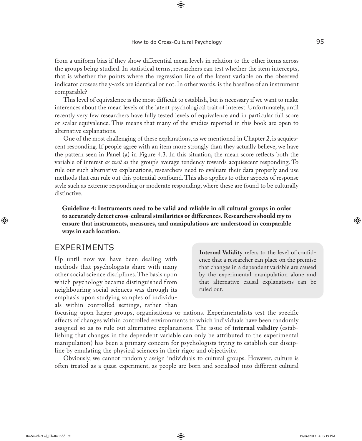#### How to do Cross-Cultural Psychology example to the Second State of the Second State of the Second State of the S

⊕

from a uniform bias if they show differential mean levels in relation to the other items across the groups being studied. In statistical terms, researchers can test whether the item intercepts, that is whether the points where the regression line of the latent variable on the observed indicator crosses the y-axis are identical or not. In other words, is the baseline of an instrument comparable?

This level of equivalence is the most difficult to establish, but is necessary if we want to make inferences about the mean levels of the latent psychological trait of interest. Unfortunately, until recently very few researchers have fully tested levels of equivalence and in particular full score or scalar equivalence. This means that many of the studies reported in this book are open to alternative explanations.

One of the most challenging of these explanations, as we mentioned in Chapter 2, is acquiescent responding. If people agree with an item more strongly than they actually believe, we have the pattern seen in Panel (a) in Figure 4.3. In this situation, the mean score reflects both the variable of interest *as well as* the group's average tendency towards acquiescent responding. To rule out such alternative explanations, researchers need to evaluate their data properly and use methods that can rule out this potential confound. This also applies to other aspects of response style such as extreme responding or moderate responding, where these are found to be culturally distinctive.

**Guideline 4: Instruments need to be valid and reliable in all cultural groups in order to accurately detect cross-cultural similarities or differences. Researchers should try to ensure that instruments, measures, and manipulations are understood in comparable ways in each location.** 

# EXPERIMENTS

⊕

Up until now we have been dealing with methods that psychologists share with many other social science disciplines. The basis upon which psychology became distinguished from neighbouring social sciences was through its emphasis upon studying samples of individuals within controlled settings, rather than **Internal Validity** refers to the level of confidence that a researcher can place on the premise that changes in a dependent variable are caused by the experimental manipulation alone and that alternative causal explanations can be ruled out.

focusing upon larger groups, organisations or nations. Experimentalists test the specific effects of changes within controlled environments to which individuals have been randomly assigned so as to rule out alternative explanations. The issue of **internal validity** (establishing that changes in the dependent variable can only be attributed to the experimental manipulation) has been a primary concern for psychologists trying to establish our discipline by emulating the physical sciences in their rigor and objectivity.

Obviously, we cannot randomly assign individuals to cultural groups. However, culture is often treated as a quasi-experiment, as people are born and socialised into different cultural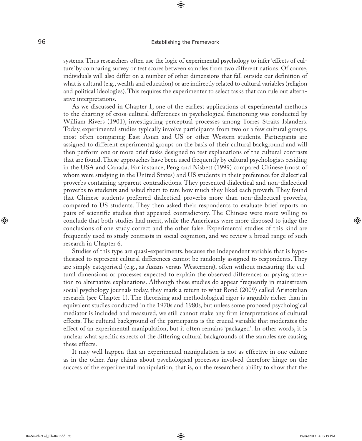#### 96 Establishing the Framework

⊕

systems. Thus researchers often use the logic of experimental psychology to infer 'effects of culture' by comparing survey or test scores between samples from two different nations. Of course, individuals will also differ on a number of other dimensions that fall outside our definition of what is cultural (e.g., wealth and education) or are indirectly related to cultural variables (religion and political ideologies). This requires the experimenter to select tasks that can rule out alternative interpretations.

As we discussed in Chapter 1, one of the earliest applications of experimental methods to the charting of cross-cultural differences in psychological functioning was conducted by William Rivers (1901), investigating perceptual processes among Torres Straits Islanders. Today, experimental studies typically involve participants from two or a few cultural groups, most often comparing East Asian and US or other Western students. Participants are assigned to different experimental groups on the basis of their cultural background and will then perform one or more brief tasks designed to test explanations of the cultural contrasts that are found. These approaches have been used frequently by cultural psychologists residing in the USA and Canada. For instance, Peng and Nisbett (1999) compared Chinese (most of whom were studying in the United States) and US students in their preference for dialectical proverbs containing apparent contradictions. They presented dialectical and non-dialectical proverbs to students and asked them to rate how much they liked each proverb. They found that Chinese students preferred dialectical proverbs more than non-dialectical proverbs, compared to US students. They then asked their respondents to evaluate brief reports on pairs of scientific studies that appeared contradictory. The Chinese were more willing to conclude that both studies had merit, while the Americans were more disposed to judge the conclusions of one study correct and the other false. Experimental studies of this kind are frequently used to study contrasts in social cognition, and we review a broad range of such research in Chapter 6.

Studies of this type are quasi-experiments, because the independent variable that is hypothesised to represent cultural differences cannot be randomly assigned to respondents. They are simply categorised (e.g., as Asians versus Westerners), often without measuring the cultural dimensions or processes expected to explain the observed differences or paying attention to alternative explanations. Although these studies do appear frequently in mainstream social psychology journals today, they mark a return to what Bond (2009) called Aristotelian research (see Chapter 1). The theorising and methodological rigor is arguably richer than in equivalent studies conducted in the 1970s and 1980s, but unless some proposed psychological mediator is included and measured, we still cannot make any firm interpretations of cultural effects. The cultural background of the participants is the crucial variable that moderates the effect of an experimental manipulation, but it often remains 'packaged'. In other words, it is unclear what specific aspects of the differing cultural backgrounds of the samples are causing these effects.

It may well happen that an experimental manipulation is not as effective in one culture as in the other. Any claims about psychological processes involved therefore hinge on the success of the experimental manipulation, that is, on the researcher's ability to show that the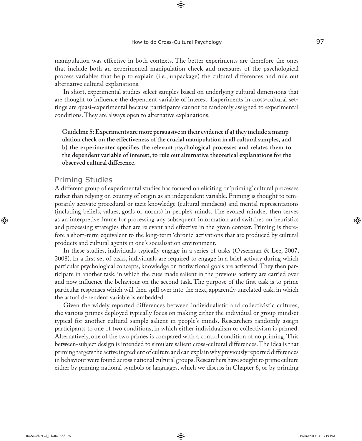#### How to do Cross-Cultural Psychology example to the SV 97

⊕

manipulation was effective in both contexts. The better experiments are therefore the ones that include both an experimental manipulation check and measures of the psychological process variables that help to explain (i.e., unpackage) the cultural differences and rule out alternative cultural explanations.

In short, experimental studies select samples based on underlying cultural dimensions that are thought to influence the dependent variable of interest. Experiments in cross-cultural settings are quasi-experimental because participants cannot be randomly assigned to experimental conditions. They are always open to alternative explanations.

**Guideline 5: Experiments are more persuasive in their evidence if a) they include a manipulation check on the effectiveness of the crucial manipulation in all cultural samples, and b) the experimenter specifies the relevant psychological processes and relates them to the dependent variable of interest, to rule out alternative theoretical explanations for the observed cultural difference.** 

## Priming Studies

⊕

A different group of experimental studies has focused on eliciting or 'priming' cultural processes rather than relying on country of origin as an independent variable. Priming is thought to temporarily activate procedural or tacit knowledge (cultural mindsets) and mental representations (including beliefs, values, goals or norms) in people's minds. The evoked mindset then serves as an interpretive frame for processing any subsequent information and switches on heuristics and processing strategies that are relevant and effective in the given context. Priming is therefore a short-term equivalent to the long-term 'chronic' activations that are produced by cultural products and cultural agents in one's socialisation environment.

In these studies, individuals typically engage in a series of tasks (Oyserman & Lee, 2007, 2008). In a first set of tasks, individuals are required to engage in a brief activity during which particular psychological concepts, knowledge or motivational goals are activated. They then participate in another task, in which the cues made salient in the previous activity are carried over and now influence the behaviour on the second task. The purpose of the first task is to prime particular responses which will then spill over into the next, apparently unrelated task, in which the actual dependent variable is embedded.

Given the widely reported differences between individualistic and collectivistic cultures, the various primes deployed typically focus on making either the individual or group mindset typical for another cultural sample salient in people's minds. Researchers randomly assign participants to one of two conditions, in which either individualism or collectivism is primed. Alternatively, one of the two primes is compared with a control condition of no priming. This between-subject design is intended to simulate salient cross-cultural differences. The idea is that priming targets the active ingredient of culture and can explain why previously reported differences in behaviour were found across national cultural groups. Researchers have sought to prime culture either by priming national symbols or languages, which we discuss in Chapter 6, or by priming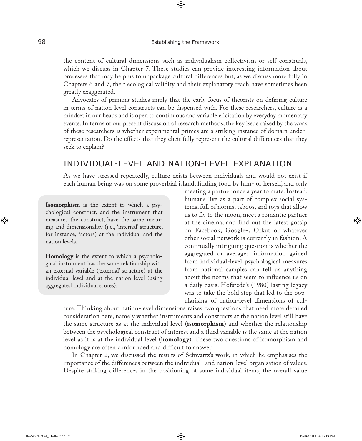#### 98 Establishing the Framework

⊕

the content of cultural dimensions such as individualism-collectivism or self-construals, which we discuss in Chapter 7. These studies can provide interesting information about processes that may help us to unpackage cultural differences but, as we discuss more fully in Chapters 6 and 7, their ecological validity and their explanatory reach have sometimes been greatly exaggerated.

Advocates of priming studies imply that the early focus of theorists on defining culture in terms of nation-level constructs can be dispensed with. For these researchers, culture is a mindset in our heads and is open to continuous and variable elicitation by everyday momentary events. In terms of our present discussion of research methods, the key issue raised by the work of these researchers is whether experimental primes are a striking instance of domain underrepresentation. Do the effects that they elicit fully represent the cultural differences that they seek to explain?

# INDIVIDUAL-LEVEL AND NATION-LEVEL EXPLANATION

As we have stressed repeatedly, culture exists between individuals and would not exist if each human being was on some proverbial island, finding food by him- or herself, and only

**Isomorphism** is the extent to which a psychological construct, and the instrument that measures the construct, have the same meaning and dimensionality (i.e., 'internal' structure, for instance, factors) at the individual and the nation levels.

**Homology** is the extent to which a psychological instrument has the same relationship with an external variable ('external' structure) at the individual level and at the nation level (using aggregated individual scores).

meeting a partner once a year to mate. Instead, humans live as a part of complex social systems, full of norms, taboos, and toys that allow us to fly to the moon, meet a romantic partner at the cinema, and find out the latest gossip on Facebook, Google+, Orkut or whatever other social network is currently in fashion. A continually intriguing question is whether the aggregated or averaged information gained from individual-level psychological measures from national samples can tell us anything about the norms that seem to influence us on a daily basis. Hofstede's (1980) lasting legacy was to take the bold step that led to the popularising of nation-level dimensions of cul-

ture. Thinking about nation-level dimensions raises two questions that need more detailed consideration here, namely whether instruments and constructs at the nation level still have the same structure as at the individual level (**isomorphism**) and whether the relationship between the psychological construct of interest and a third variable is the same at the nation level as it is at the individual level (**homology**). These two questions of isomorphism and homology are often confounded and difficult to answer.

In Chapter 2, we discussed the results of Schwartz's work, in which he emphasises the importance of the differences between the individual- and nation-level organisation of values. Despite striking differences in the positioning of some individual items, the overall value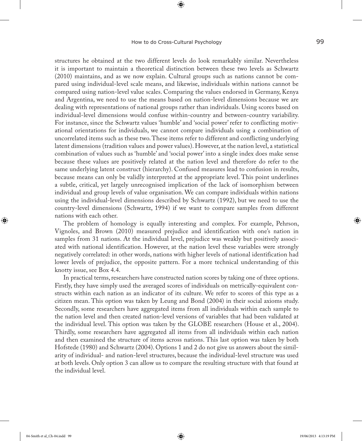#### How to do Cross-Cultural Psychology example to the Second Second Second Second Second Second Second Second Second Second Second Second Second Second Second Second Second Second Second Second Second Second Second Second Sec

⊕

structures he obtained at the two different levels do look remarkably similar. Nevertheless it is important to maintain a theoretical distinction between these two levels as Schwartz (2010) maintains, and as we now explain. Cultural groups such as nations cannot be compared using individual-level scale means, and likewise, individuals within nations cannot be compared using nation-level value scales. Comparing the values endorsed in Germany, Kenya and Argentina, we need to use the means based on nation-level dimensions because we are dealing with representations of national groups rather than individuals. Using scores based on individual-level dimensions would confuse within-country and between-country variability. For instance, since the Schwartz values 'humble' and 'social power' refer to conflicting motivational orientations for individuals, we cannot compare individuals using a combination of uncorrelated items such as these two. These items refer to different and conflicting underlying latent dimensions (tradition values and power values). However, at the nation level, a statistical combination of values such as 'humble' and 'social power' into a single index does make sense because these values are positively related at the nation level and therefore do refer to the same underlying latent construct (hierarchy). Confused measures lead to confusion in results, because means can only be validly interpreted at the appropriate level. This point underlines a subtle, critical, yet largely unrecognised implication of the lack of isomorphism between individual and group levels of value organisation. We can compare individuals within nations using the individual-level dimensions described by Schwartz (1992), but we need to use the country-level dimensions (Schwartz, 1994) if we want to compare samples from different nations with each other.

The problem of homology is equally interesting and complex. For example, Pehrson, Vignoles, and Brown (2010) measured prejudice and identification with one's nation in samples from 31 nations. At the individual level, prejudice was weakly but positively associated with national identification. However, at the nation level these variables were strongly negatively correlated: in other words, nations with higher levels of national identification had lower levels of prejudice, the opposite pattern. For a more technical understanding of this knotty issue, see Box 4.4.

In practical terms, researchers have constructed nation scores by taking one of three options. Firstly, they have simply used the averaged scores of individuals on metrically-equivalent constructs within each nation as an indicator of its culture. We refer to scores of this type as a citizen mean. This option was taken by Leung and Bond (2004) in their social axioms study. Secondly, some researchers have aggregated items from all individuals within each sample to the nation level and then created nation-level versions of variables that had been validated at the individual level. This option was taken by the GLOBE researchers (House et al., 2004). Thirdly, some researchers have aggregated all items from all individuals within each nation and then examined the structure of items across nations. This last option was taken by both Hofstede (1980) and Schwartz (2004). Options 1 and 2 do not give us answers about the similarity of individual- and nation-level structures, because the individual-level structure was used at both levels. Only option 3 can allow us to compare the resulting structure with that found at the individual level.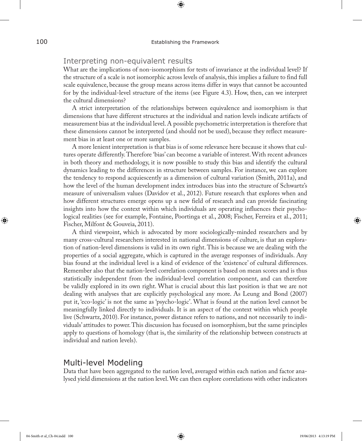# Interpreting non-equivalent results

What are the implications of non-isomorphism for tests of invariance at the individual level? If the structure of a scale is not isomorphic across levels of analysis, this implies a failure to find full scale equivalence, because the group means across items differ in ways that cannot be accounted for by the individual-level structure of the items (see Figure 4.3). How, then, can we interpret the cultural dimensions?

A strict interpretation of the relationships between equivalence and isomorphism is that dimensions that have different structures at the individual and nation levels indicate artifacts of measurement bias at the individual level. A possible psychometric interpretation is therefore that these dimensions cannot be interpreted (and should not be used), because they reflect measurement bias in at least one or more samples.

A more lenient interpretation is that bias is of some relevance here because it shows that cultures operate differently. Therefore 'bias' can become a variable of interest. With recent advances in both theory and methodology, it is now possible to study this bias and identify the cultural dynamics leading to the differences in structure between samples. For instance, we can explore the tendency to respond acquiescently as a dimension of cultural variation (Smith, 2011a), and how the level of the human development index introduces bias into the structure of Schwartz's measure of universalism values (Davidov et al., 2012). Future research that explores when and how different structures emerge opens up a new field of research and can provide fascinating insights into how the context within which individuals are operating influences their psychological realities (see for example, Fontaine, Poortinga et al., 2008; Fischer, Ferreira et al., 2011; Fischer, Milfont & Gouveia, 2011).

A third viewpoint, which is advocated by more sociologically-minded researchers and by many cross-cultural researchers interested in national dimensions of culture, is that an exploration of nation-level dimensions is valid in its own right. This is because we are dealing with the properties of a social aggregate, which is captured in the average responses of individuals. Any bias found at the individual level is a kind of evidence of the 'existence' of cultural differences. Remember also that the nation-level correlation component is based on mean scores and is thus statistically independent from the individual-level correlation component, and can therefore be validly explored in its own right. What is crucial about this last position is that we are not dealing with analyses that are explicitly psychological any more. As Leung and Bond (2007) put it, 'eco-logic' is not the same as 'psycho-logic'. What is found at the nation level cannot be meaningfully linked directly to individuals. It is an aspect of the context within which people live (Schwartz, 2010). For instance, power distance refers to nations, and not necessarily to individuals' attitudes to power. This discussion has focused on isomorphism, but the same principles apply to questions of homology (that is, the similarity of the relationship between constructs at individual and nation levels).

# Multi-level Modeling

Data that have been aggregated to the nation level, averaged within each nation and factor analysed yield dimensions at the nation level. We can then explore correlations with other indicators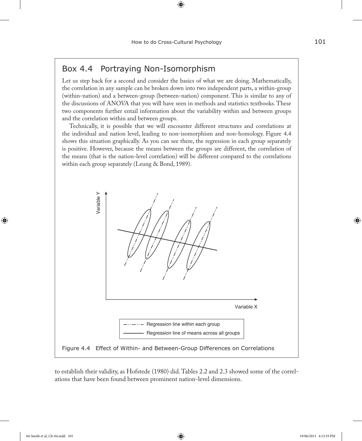# Box 4.4 Portraying Non-Isomorphism

Let us step back for a second and consider the basics of what we are doing. Mathematically, the correlation in any sample can be broken down into two independent parts, a within-group (within-nation) and a between-group (between-nation) component. This is similar to any of the discussions of ANOVA that you will have seen in methods and statistics textbooks. These two components further entail information about the variability within and between groups and the correlation within and between groups.

Technically, it is possible that we will encounter different structures and correlations at the individual and nation level, leading to non-isomorphism and non-homology. Figure 4.4 shows this situation graphically. As you can see there, the regression in each group separately is positive. However, because the means between the groups are different, the correlation of the means (that is the nation-level correlation) will be different compared to the correlations within each group separately (Leung & Bond, 1989).



to establish their validity, as Hofstede (1980) did. Tables 2.2 and 2.3 showed some of the correlations that have been found between prominent nation-level dimensions.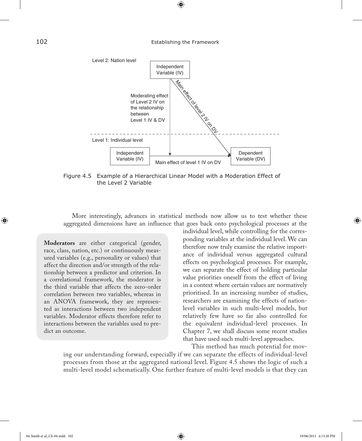

Figure 4.5 Example of a Hierarchical Linear Model with a Moderation Effect of the Level 2 Variable

More interestingly, advances in statistical methods now allow us to test whether these aggregated dimensions have an influence that goes back onto psychological processes at the

**Moderators** are either categorical (gender, race, class, nation, etc.) or continuously measured variables (e.g., personality or values) that affect the direction and/or strength of the relationship between a predictor and criterion. In a correlational framework, the moderator is the third variable that affects the zero-order correlation between two variables, whereas in an ANOVA framework, they are represented as interactions between two independent variables. Moderator effects therefore refer to interactions between the variables used to predict an outcome.

individual level, while controlling for the corresponding variables at the individual level. We can therefore now truly examine the relative importance of individual versus aggregated cultural effects on psychological processes. For example, we can separate the effect of holding particular value priorities oneself from the effect of living in a context where certain values are normatively prioritised. In an increasing number of studies, researchers are examining the effects of nationlevel variables in such multi-level models, but relatively few have so far also controlled for the equivalent individual-level processes. In Chapter 7, we shall discuss some recent studies that have used such multi-level approaches.

This method has much potential for moving our understanding forward, especially if we can separate the effects of individual-level processes from those at the aggregated national level. Figure 4.5 shows the logic of such a multi-level model schematically. One further feature of multi-level models is that they can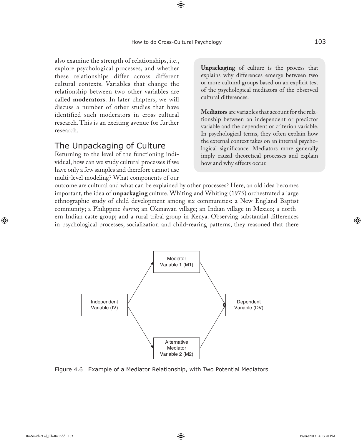also examine the strength of relationships, i.e., explore psychological processes, and whether these relationships differ across different cultural contexts. Variables that change the relationship between two other variables are called **moderators**. In later chapters, we will discuss a number of other studies that have identified such moderators in cross-cultural research. This is an exciting avenue for further research.

# The Unpackaging of Culture

Returning to the level of the functioning individual, how can we study cultural processes if we have only a few samples and therefore cannot use multi-level modeling? What components of our

**Unpackaging** of culture is the process that explains why differences emerge between two or more cultural groups based on an explicit test of the psychological mediators of the observed cultural differences.

**Mediators** are variables that account for the relationship between an independent or predictor variable and the dependent or criterion variable. In psychological terms, they often explain how the external context takes on an internal psychological significance. Mediators more generally imply causal theoretical processes and explain how and why effects occur.

outcome are cultural and what can be explained by other processes? Here, an old idea becomes important, the idea of **unpackaging** culture. Whiting and Whiting (1975) orchestrated a large ethnographic study of child development among six communities: a New England Baptist community; a Philippine *barrio*; an Okinawan village; an Indian village in Mexico; a northern Indian caste group; and a rural tribal group in Kenya. Observing substantial differences in psychological processes, socialization and child-rearing patterns, they reasoned that there



Figure 4.6 Example of a Mediator Relationship, with Two Potential Mediators

⊕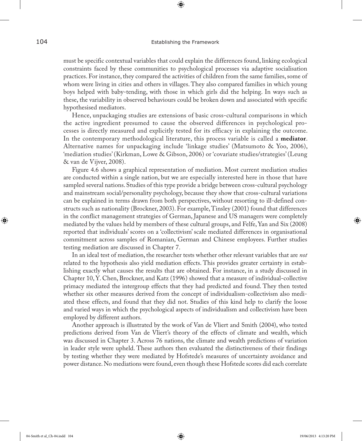#### 104 **Establishing the Framework**

⊕

must be specific contextual variables that could explain the differences found, linking ecological constraints faced by these communities to psychological processes via adaptive socialisation practices. For instance, they compared the activities of children from the same families, some of whom were living in cities and others in villages. They also compared families in which young boys helped with baby-tending, with those in which girls did the helping. In ways such as these, the variability in observed behaviours could be broken down and associated with specific hypothesised mediators.

Hence, unpackaging studies are extensions of basic cross-cultural comparisons in which the active ingredient presumed to cause the observed differences in psychological processes is directly measured and explicitly tested for its efficacy in explaining the outcome. In the contemporary methodological literature, this process variable is called a **mediator**. Alternative names for unpackaging include 'linkage studies' (Matsumoto & Yoo, 2006), 'mediation studies' (Kirkman, Lowe & Gibson, 2006) or 'covariate studies/strategies' (Leung & van de Vijver, 2008).

Figure 4.6 shows a graphical representation of mediation. Most current mediation studies are conducted within a single nation, but we are especially interested here in those that have sampled several nations. Studies of this type provide a bridge between cross-cultural psychology and mainstream social/personality psychology, because they show that cross-cultural variations can be explained in terms drawn from both perspectives, without resorting to ill-defined constructs such as nationality (Brockner, 2003). For example, Tinsley (2001) found that differences in the conflict management strategies of German, Japanese and US managers were completely mediated by the values held by members of these cultural groups, and Felfe, Yan and Six (2008) reported that individuals' scores on a 'collectivism' scale mediated differences in organisational commitment across samples of Romanian, German and Chinese employees. Further studies testing mediation are discussed in Chapter 7.

In an ideal test of mediation, the researcher tests whether other relevant variables that are *not* related to the hypothesis also yield mediation effects. This provides greater certainty in establishing exactly what causes the results that are obtained. For instance, in a study discussed in Chapter 10, Y. Chen, Brockner, and Katz (1996) showed that a measure of individual-collective primacy mediated the intergroup effects that they had predicted and found. They then tested whether six other measures derived from the concept of individualism-collectivism also mediated these effects, and found that they did not. Studies of this kind help to clarify the loose and varied ways in which the psychological aspects of individualism and collectivism have been employed by different authors.

Another approach is illustrated by the work of Van de Vliert and Smith (2004), who tested predictions derived from Van de Vliert's theory of the effects of climate and wealth, which was discussed in Chapter 3. Across 76 nations, the climate and wealth predictions of variation in leader style were upheld. These authors then evaluated the distinctiveness of their findings by testing whether they were mediated by Hofstede's measures of uncertainty avoidance and power distance. No mediations were found, even though these Hofstede scores did each correlate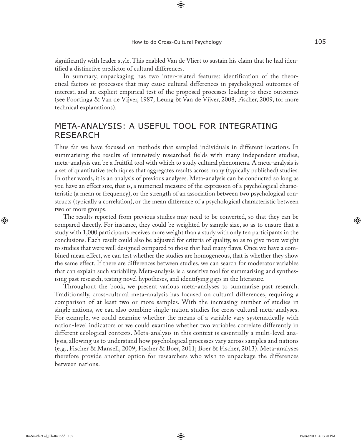#### How to do Cross-Cultural Psychology 105

⊕

significantly with leader style. This enabled Van de Vliert to sustain his claim that he had identified a distinctive predictor of cultural differences.

In summary, unpackaging has two inter-related features: identification of the theoretical factors or processes that may cause cultural differences in psychological outcomes of interest, and an explicit empirical test of the proposed processes leading to these outcomes (see Poortinga & Van de Vijver, 1987; Leung & Van de Vijver, 2008; Fischer, 2009, for more technical explanations).

# META-ANALYSIS: A USEFUL TOOL FOR INTEGRATING RESEARCH

Thus far we have focused on methods that sampled individuals in different locations. In summarising the results of intensively researched fields with many independent studies, meta-analysis can be a fruitful tool with which to study cultural phenomena. A meta-analysis is a set of quantitative techniques that aggregates results across many (typically published) studies. In other words, it is an analysis of previous analyses. Meta-analysis can be conducted so long as you have an effect size, that is, a numerical measure of the expression of a psychological characteristic (a mean or frequency), or the strength of an association between two psychological constructs (typically a correlation), or the mean difference of a psychological characteristic between two or more groups.

The results reported from previous studies may need to be converted, so that they can be compared directly. For instance, they could be weighted by sample size, so as to ensure that a study with 1,000 participants receives more weight than a study with only ten participants in the conclusions. Each result could also be adjusted for criteria of quality, so as to give more weight to studies that were well designed compared to those that had many flaws. Once we have a combined mean effect, we can test whether the studies are homogeneous, that is whether they show the same effect. If there are differences between studies, we can search for moderator variables that can explain such variability. Meta-analysis is a sensitive tool for summarising and synthesising past research, testing novel hypotheses, and identifying gaps in the literature.

Throughout the book, we present various meta-analyses to summarise past research. Traditionally, cross-cultural meta-analysis has focused on cultural differences, requiring a comparison of at least two or more samples. With the increasing number of studies in single nations, we can also combine single-nation studies for cross-cultural meta-analyses. For example, we could examine whether the means of a variable vary systematically with nation-level indicators or we could examine whether two variables correlate differently in different ecological contexts. Meta-analysis in this context is essentially a multi-level analysis, allowing us to understand how psychological processes vary across samples and nations (e.g., Fischer & Mansell, 2009; Fischer & Boer, 2011; Boer & Fischer, 2013). Meta-analyses therefore provide another option for researchers who wish to unpackage the differences between nations.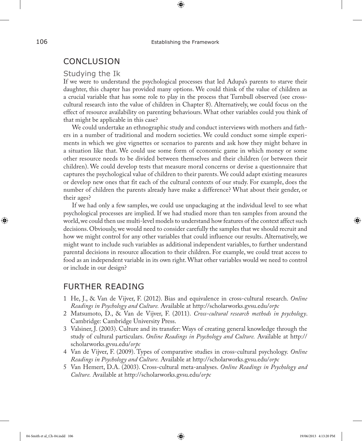# CONCLUSION

#### Studying the Ik

If we were to understand the psychological processes that led Adupa's parents to starve their daughter, this chapter has provided many options. We could think of the value of children as a crucial variable that has some role to play in the process that Turnbull observed (see crosscultural research into the value of children in Chapter 8). Alternatively, we could focus on the effect of resource availability on parenting behaviours. What other variables could you think of that might be applicable in this case?

We could undertake an ethnographic study and conduct interviews with mothers and fathers in a number of traditional and modern societies. We could conduct some simple experiments in which we give vignettes or scenarios to parents and ask how they might behave in a situation like that. We could use some form of economic game in which money or some other resource needs to be divided between themselves and their children (or between their children). We could develop tests that measure moral concerns or devise a questionnaire that captures the psychological value of children to their parents. We could adapt existing measures or develop new ones that fit each of the cultural contexts of our study. For example, does the number of children the parents already have make a difference? What about their gender, or their ages?

If we had only a few samples, we could use unpackaging at the individual level to see what psychological processes are implied. If we had studied more than ten samples from around the world, we could then use multi-level models to understand how features of the context affect such decisions. Obviously, we would need to consider carefully the samples that we should recruit and how we might control for any other variables that could influence our results. Alternatively, we might want to include such variables as additional independent variables, to further understand parental decisions in resource allocation to their children. For example, we could treat access to food as an independent variable in its own right. What other variables would we need to control or include in our design?

# FURTHER READING

- 1 He, J., & Van de Vijver, F. (2012). Bias and equivalence in cross-cultural research. *Online Readings in Psychology and Culture.* Available at http://scholarworks.gvsu.edu/*orpc*
- 2 Matsumoto, D., & Van de Vijver, F. (2011). *Cross-cultural research methods in psychology*. Cambridge: Cambridge University Press.
- 3 Valsiner, J. (2003). Culture and its transfer: Ways of creating general knowledge through the study of cultural particulars. *Online Readings in Psychology and Culture.* Available at http:// scholarworks.gvsu.edu/*orpc*
- 4 Van de Vijver, F. (2009). Types of comparative studies in cross-cultural psychology. *Online Readings in Psychology and Culture.* Available at http://scholarworks.gvsu.edu/*orpc*
- 5 Van Hemert, D.A. (2003). Cross-cultural meta-analyses. *Online Readings in Psychology and Culture.* Available at http://scholarworks.gvsu.edu/*orpc*